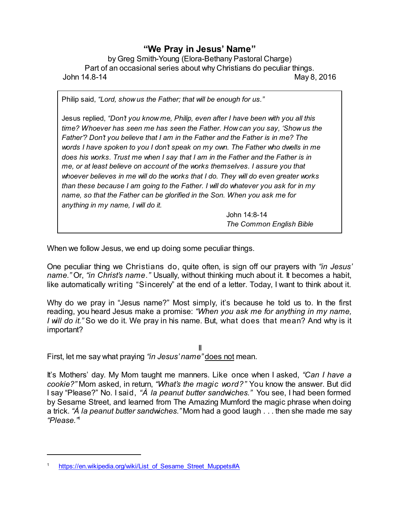## **"We Pray in Jesus' Name"**

by Greg Smith-Young (Elora-Bethany Pastoral Charge) Part of an occasional series about why Christians do peculiar things. John 14.8-14 May 8, 2016

Philip said, *"Lord, show us the Father; that will be enough for us."*

Jesus replied, *"Don't you know me, Philip, even after I have been with you all this time? Whoever has seen me has seen the Father. How can you say, 'Show us the Father'? Don't you believe that I am in the Father and the Father is in me? The words I have spoken to you I don't speak on my own. The Father who dwells in me does his works. Trust me when I say that I am in the Father and the Father is in me, or at least believe on account of the works themselves. I assure you that whoever believes in me will do the works that I do. They will do even greater works than these because I am going to the Father. I will do whatever you ask for in my name, so that the Father can be glorified in the Son. When you ask me for anything in my name, I will do it.*

> John 14:8-14 *The Common English Bible*

When we follow Jesus, we end up doing some peculiar things.

One peculiar thing we Christians do, quite often, is sign off our prayers with *"in Jesus' name."* Or, *"in Christ's name."* Usually, without thinking much about it. It becomes a habit, like automatically writing "Sincerely" at the end of a letter. Today, I want to think about it.

Why do we pray in "Jesus name?" Most simply, it's because he told us to. In the first reading, you heard Jesus make a promise: *"When you ask me for anything in my name, I will do it."* So we do it. We pray in his name. But, what does that mean? And why is it important?

II First, let me say what praying *"in Jesus' name"* does not mean.

It's Mothers' day. My Mom taught me manners. Like once when I asked, *"Can I have a cookie?"* Mom asked, in return, *"What's the magic word?"* You know the answer. But did I say "Please?" No. I said, *"À la peanut butter sandwiches."* You see, I had been formed by Sesame Street, and learned from The Amazing Mumford the magic phrase when doing a trick. *"À la peanut butter sandwiches."* Mom had a good laugh . . . then she made me say *"Please."* 1

[https://en.wikipedia.org/wiki/List\\_of\\_Sesame\\_Street\\_Muppets#A](https://en.wikipedia.org/wiki/List_of_Sesame_Street_Muppets#A)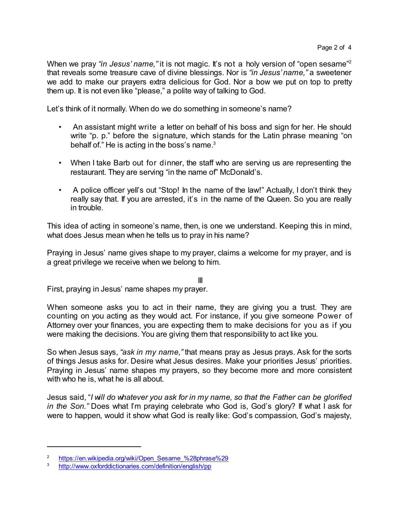When we pray "in Jesus' name," it is not magic. It's not a holy version of "open sesame"<sup>2</sup> that reveals some treasure cave of divine blessings. Nor is *"in Jesus' name,"* a sweetener we add to make our prayers extra delicious for God. Nor a bow we put on top to pretty them up. It is not even like "please," a polite way of talking to God.

Let's think of it normally. When do we do something in someone's name?

- An assistant might write a letter on behalf of his boss and sign for her. He should write "p. p." before the signature, which stands for the Latin phrase meaning "on behalf of." He is acting in the boss's name. $3$
- When I take Barb out for dinner, the staff who are serving us are representing the restaurant. They are serving "in the name of" McDonald's.
- A police officer yell's out "Stop! In the name of the law!" Actually, I don't think they really say that. If you are arrested, it's in the name of the Queen. So you are really in trouble.

This idea of acting in someone's name, then, is one we understand. Keeping this in mind, what does Jesus mean when he tells us to pray in his name?

Praying in Jesus' name gives shape to my prayer, claims a welcome for my prayer, and is a great privilege we receive when we belong to him.

III

First, praying in Jesus' name shapes my prayer.

When someone asks you to act in their name, they are giving you a trust. They are counting on you acting as they would act. For instance, if you give someone Power of Attorney over your finances, you are expecting them to make decisions for you as if you were making the decisions. You are giving them that responsibility to act like you.

So when Jesus says, *"ask in my name,"* that means pray as Jesus prays. Ask for the sorts of things Jesus asks for. Desire what Jesus desires. Make your priorities Jesus' priorities. Praying in Jesus' name shapes my prayers, so they become more and more consistent with who he is, what he is all about.

Jesus said, "*I will do whatever you ask for in my name, so that the Father can be glorified in the Son.*" Does what I'm praying celebrate who God is, God's glory? If what I ask for were to happen, would it show what God is really like: God's compassion, God's majesty,

<sup>&</sup>lt;sup>2</sup> [https://en.wikipedia.org/wiki/Open\\_Sesame\\_%28phrase%29](https://en.wikipedia.org/wiki/Open_Sesame_%28phrase%29)

<sup>3</sup> <http://www.oxforddictionaries.com/definition/english/pp>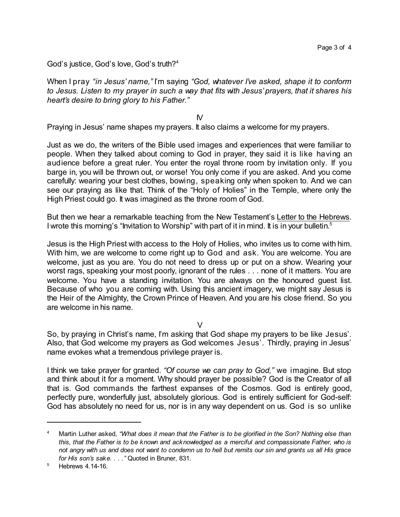God's justice, God's love, God's truth? 4

When I pray *"in Jesus' name,"* I'm saying *"God, whatever I've asked, shape it to conform to Jesus. Listen to my prayer in such a way that fits with Jesus' prayers, that it shares his heart's desire to bring glory to his Father."*

IV

Praying in Jesus' name shapes my prayers. It also claims a welcome for my prayers.

Just as we do, the writers of the Bible used images and experiences that were familiar to people. When they talked about coming to God in prayer, they said it is like having an audience before a great ruler. You enter the royal throne room by invitation only. If you barge in, you will be thrown out, or worse! You only come if you are asked. And you come carefully: wearing your best clothes, bowing, speaking only when spoken to. And we can see our praying as like that. Think of the "Holy of Holies" in the Temple, where only the High Priest could go. It was imagined as the throne room of God.

But then we hear a remarkable teaching from the New Testament's Letter to the Hebrews. I wrote this morning's "Invitation to Worship" with part of it in mind. It is in your bulletin.<sup>5</sup>

Jesus is the High Priest with access to the Holy of Holies, who invites us to come with him. With him, we are welcome to come right up to God and ask. You are welcome. You are welcome, just as you are. You do not need to dress up or put on a show. Wearing your worst rags, speaking your most poorly, ignorant of the rules . . . none of it matters. You are welcome. You have a standing invitation. You are always on the honoured guest list. Because of who you are coming with. Using this ancient imagery, we might say Jesus is the Heir of the Almighty, the Crown Prince of Heaven. And you are his close friend. So you are welcome in his name.

 $\vee$ 

So, by praying in Christ's name, I'm asking that God shape my prayers to be like Jesus'. Also, that God welcome my prayers as God welcomes Jesus'. Thirdly, praying in Jesus' name evokes what a tremendous privilege prayer is.

I think we take prayer for granted. *"Of course we can pray to God,"* we imagine. But stop and think about it for a moment. Why should prayer be possible? God is the Creator of all that is. God commands the farthest expanses of the Cosmos. God is entirely good, perfectly pure, wonderfully just, absolutely glorious. God is entirely sufficient for God-self: God has absolutely no need for us, nor is in any way dependent on us. God is so unlike

<sup>4</sup> Martin Luther asked, "What does it mean that the Father is to be glorified in the Son? Nothing else than *this, that the Father is to be known and acknowledged as a merciful and compassionate Father, who is* not angry with us and does not want to condemn us to hell but remits our sin and grants us all His grace *for His son's sake. . . ."* Quoted in Bruner, 831.

<sup>5</sup> Hebrews 4.14-16.